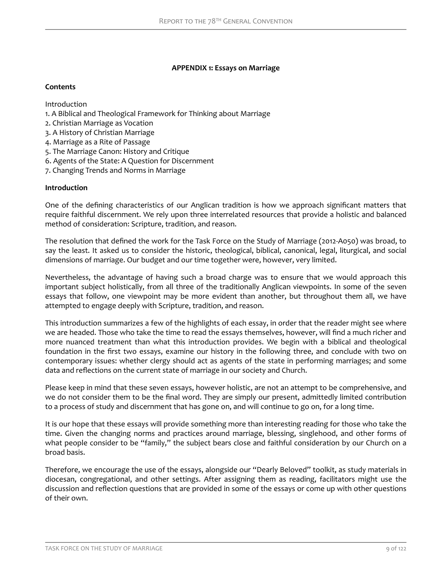## **APPENDIX 1: Essays on Marriage**

## **Contents**

Introduction

- 1. A Biblical and Theological Framework for Thinking about Marriage
- 2. Christian Marriage as Vocation
- 3. A History of Christian Marriage
- 4. Marriage as a Rite of Passage
- 5. The Marriage Canon: History and Critique
- 6. Agents of the State: A Question for Discernment
- 7. Changing Trends and Norms in Marriage

## **Introduction**

One of the defining characteristics of our Anglican tradition is how we approach significant matters that require faithful discernment. We rely upon three interrelated resources that provide a holistic and balanced method of consideration: Scripture, tradition, and reason.

The resolution that defined the work for the Task Force on the Study of Marriage (2012-A050) was broad, to say the least. It asked us to consider the historic, theological, biblical, canonical, legal, liturgical, and social dimensions of marriage. Our budget and our time together were, however, very limited.

Nevertheless, the advantage of having such a broad charge was to ensure that we would approach this important subject holistically, from all three of the traditionally Anglican viewpoints. In some of the seven essays that follow, one viewpoint may be more evident than another, but throughout them all, we have attempted to engage deeply with Scripture, tradition, and reason.

This introduction summarizes a few of the highlights of each essay, in order that the reader might see where we are headed. Those who take the time to read the essays themselves, however, will find a much richer and more nuanced treatment than what this introduction provides. We begin with a biblical and theological foundation in the first two essays, examine our history in the following three, and conclude with two on contemporary issues: whether clergy should act as agents of the state in performing marriages; and some data and reflections on the current state of marriage in our society and Church.

Please keep in mind that these seven essays, however holistic, are not an attempt to be comprehensive, and we do not consider them to be the final word. They are simply our present, admittedly limited contribution to a process of study and discernment that has gone on, and will continue to go on, for a long time.

It is our hope that these essays will provide something more than interesting reading for those who take the time. Given the changing norms and practices around marriage, blessing, singlehood, and other forms of what people consider to be "family," the subject bears close and faithful consideration by our Church on a broad basis.

Therefore, we encourage the use of the essays, alongside our "Dearly Beloved" toolkit, as study materials in diocesan, congregational, and other settings. After assigning them as reading, facilitators might use the discussion and reflection questions that are provided in some of the essays or come up with other questions of their own.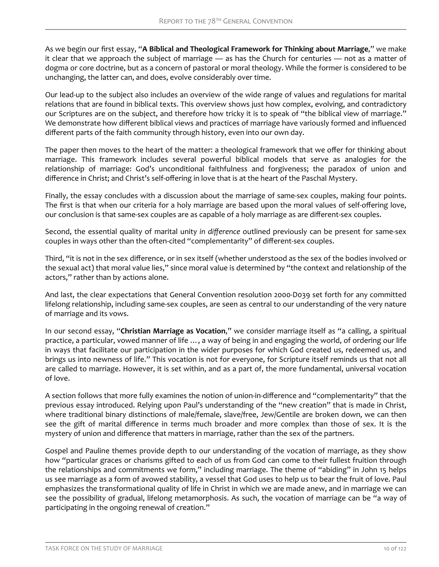As we begin our first essay, "**A Biblical and Theological Framework for Thinking about Marriage**," we make it clear that we approach the subject of marriage — as has the Church for centuries — not as a matter of dogma or core doctrine, but as a concern of pastoral or moral theology. While the former is considered to be unchanging, the latter can, and does, evolve considerably over time.

Our lead-up to the subject also includes an overview of the wide range of values and regulations for marital relations that are found in biblical texts. This overview shows just how complex, evolving, and contradictory our Scriptures are on the subject, and therefore how tricky it is to speak of "the biblical view of marriage." We demonstrate how different biblical views and practices of marriage have variously formed and influenced different parts of the faith community through history, even into our own day.

The paper then moves to the heart of the matter: a theological framework that we offer for thinking about marriage. This framework includes several powerful biblical models that serve as analogies for the relationship of marriage: God's unconditional faithfulness and forgiveness; the paradox of union and difference in Christ; and Christ's self-offering in love that is at the heart of the Paschal Mystery.

Finally, the essay concludes with a discussion about the marriage of same-sex couples, making four points. The first is that when our criteria for a holy marriage are based upon the moral values of self-offering love, our conclusion is that same-sex couples are as capable of a holy marriage as are different-sex couples.

Second, the essential quality of marital unity *in difference* outlined previously can be present for same-sex couples in ways other than the often-cited "complementarity" of different-sex couples.

Third, "it is not in the sex difference, or in sex itself (whether understood as the sex of the bodies involved or the sexual act) that moral value lies," since moral value is determined by "the context and relationship of the actors," rather than by actions alone.

And last, the clear expectations that General Convention resolution 2000-D039 set forth for any committed lifelong relationship, including same-sex couples, are seen as central to our understanding of the very nature of marriage and its vows.

In our second essay, "**Christian Marriage as Vocation**," we consider marriage itself as "a calling, a spiritual practice, a particular, vowed manner of life …, a way of being in and engaging the world, of ordering our life in ways that facilitate our participation in the wider purposes for which God created us, redeemed us, and brings us into newness of life." This vocation is not for everyone, for Scripture itself reminds us that not all are called to marriage. However, it is set within, and as a part of, the more fundamental, universal vocation of love.

A section follows that more fully examines the notion of union-in-difference and "complementarity" that the previous essay introduced. Relying upon Paul's understanding of the "new creation" that is made in Christ, where traditional binary distinctions of male/female, slave/free, Jew/Gentile are broken down, we can then see the gift of marital difference in terms much broader and more complex than those of sex. It is the mystery of union and difference that matters in marriage, rather than the sex of the partners.

Gospel and Pauline themes provide depth to our understanding of the vocation of marriage, as they show how "particular graces or charisms gifted to each of us from God can come to their fullest fruition through the relationships and commitments we form," including marriage. The theme of "abiding" in John 15 helps us see marriage as a form of avowed stability, a vessel that God uses to help us to bear the fruit of love. Paul emphasizes the transformational quality of life in Christ in which we are made anew, and in marriage we can see the possibility of gradual, lifelong metamorphosis. As such, the vocation of marriage can be "a way of participating in the ongoing renewal of creation."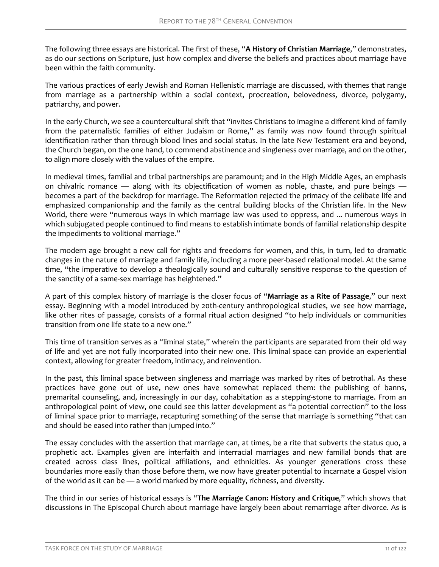The following three essays are historical. The first of these, "**A History of Christian Marriage**," demonstrates, as do our sections on Scripture, just how complex and diverse the beliefs and practices about marriage have been within the faith community.

The various practices of early Jewish and Roman Hellenistic marriage are discussed, with themes that range from marriage as a partnership within a social context, procreation, belovedness, divorce, polygamy, patriarchy, and power.

In the early Church, we see a countercultural shift that "invites Christians to imagine a different kind of family from the paternalistic families of either Judaism or Rome," as family was now found through spiritual identification rather than through blood lines and social status. In the late New Testament era and beyond, the Church began, on the one hand, to commend abstinence and singleness over marriage, and on the other, to align more closely with the values of the empire.

In medieval times, familial and tribal partnerships are paramount; and in the High Middle Ages, an emphasis on chivalric romance — along with its objectification of women as noble, chaste, and pure beings becomes a part of the backdrop for marriage. The Reformation rejected the primacy of the celibate life and emphasized companionship and the family as the central building blocks of the Christian life. In the New World, there were "numerous ways in which marriage law was used to oppress, and ... numerous ways in which subjugated people continued to find means to establish intimate bonds of familial relationship despite the impediments to volitional marriage."

The modern age brought a new call for rights and freedoms for women, and this, in turn, led to dramatic changes in the nature of marriage and family life, including a more peer-based relational model. At the same time, "the imperative to develop a theologically sound and culturally sensitive response to the question of the sanctity of a same-sex marriage has heightened."

A part of this complex history of marriage is the closer focus of "**Marriage as a Rite of Passage**," our next essay. Beginning with a model introduced by 20th-century anthropological studies, we see how marriage, like other rites of passage, consists of a formal ritual action designed "to help individuals or communities transition from one life state to a new one."

This time of transition serves as a "liminal state," wherein the participants are separated from their old way of life and yet are not fully incorporated into their new one. This liminal space can provide an experiential context, allowing for greater freedom, intimacy, and reinvention.

In the past, this liminal space between singleness and marriage was marked by rites of betrothal. As these practices have gone out of use, new ones have somewhat replaced them: the publishing of banns, premarital counseling, and, increasingly in our day, cohabitation as a stepping-stone to marriage. From an anthropological point of view, one could see this latter development as "a potential correction" to the loss of liminal space prior to marriage, recapturing something of the sense that marriage is something "that can and should be eased into rather than jumped into."

The essay concludes with the assertion that marriage can, at times, be a rite that subverts the status quo, a prophetic act. Examples given are interfaith and interracial marriages and new familial bonds that are created across class lines, political affiliations, and ethnicities. As younger generations cross these boundaries more easily than those before them, we now have greater potential to incarnate a Gospel vision of the world as it can be — a world marked by more equality, richness, and diversity.

The third in our series of historical essays is "**The Marriage Canon: History and Critique**," which shows that discussions in The Episcopal Church about marriage have largely been about remarriage after divorce. As is